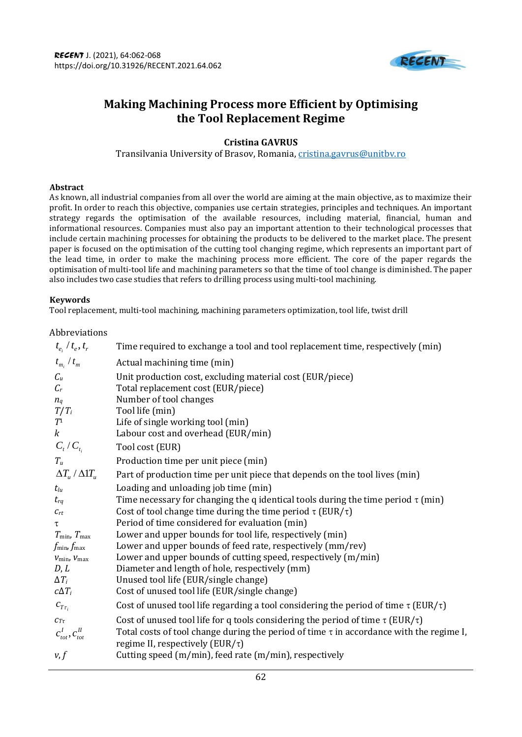

# **Making Machining Process more Efficient by Optimising the Tool Replacement Regime**

# **Cristina GAVRUS**

Transilvania University of Brasov, Romania, [cristina.gavrus@unitbv.ro](mailto:cristina.gavrus@unitbv.ro)

# **Abstract**

As known, all industrial companies from all over the world are aiming at the main objective, as to maximize their profit. In order to reach this objective, companies use certain strategies, principles and techniques. An important strategy regards the optimisation of the available resources, including material, financial, human and informational resources. Companies must also pay an important attention to their technological processes that include certain machining processes for obtaining the products to be delivered to the market place. The present paper is focused on the optimisation of the cutting tool changing regime, which represents an important part of the lead time, in order to make the machining process more efficient. The core of the paper regards the optimisation of multi-tool life and machining parameters so that the time of tool change is diminished. The paper also includes two case studies that refers to drilling process using multi-tool machining.

## **Keywords**

Tool replacement, multi-tool machining, machining parameters optimization, tool life, twist drill

# Abbreviations

| $t_{e_i} / t_{e_j}, t_{r_i}$                                | Time required to exchange a tool and tool replacement time, respectively (min)                                                         |
|-------------------------------------------------------------|----------------------------------------------------------------------------------------------------------------------------------------|
| $t_{m_i} / t_m$                                             | Actual machining time (min)                                                                                                            |
| $\mathcal{C}_u$<br>$\mathcal{C}_r$                          | Unit production cost, excluding material cost (EUR/piece)<br>Total replacement cost (EUR/piece)                                        |
| $n_q$                                                       | Number of tool changes                                                                                                                 |
| $T/T_i$<br>$T^{\scriptscriptstyle 1}$                       | Tool life (min)<br>Life of single working tool (min)                                                                                   |
| $\boldsymbol{k}$                                            | Labour cost and overhead (EUR/min)                                                                                                     |
| $C_{_t}/C_{_{t_i}}$                                         | Tool cost (EUR)                                                                                                                        |
| $T_u$                                                       | Production time per unit piece (min)                                                                                                   |
| $\Delta T_{_{\mathcal{U}}}$ / $\Delta 1 T_{_{\mathcal{U}}}$ | Part of production time per unit piece that depends on the tool lives (min)                                                            |
| $t_{lu}$                                                    | Loading and unloading job time (min)                                                                                                   |
| $t_{rq}$                                                    | Time necessary for changing the q identical tools during the time period $\tau$ (min)                                                  |
| $\mathcal{C}_{rt}$                                          | Cost of tool change time during the time period $\tau$ (EUR/ $\tau$ )                                                                  |
| $\tau$                                                      | Period of time considered for evaluation (min)                                                                                         |
| $T_{\min}$ , $T_{\max}$                                     | Lower and upper bounds for tool life, respectively (min)                                                                               |
| $f_{\rm min}$ , $f_{\rm max}$                               | Lower and upper bounds of feed rate, respectively (mm/rev)                                                                             |
| $V_{\text{min}}$ , $V_{\text{max}}$                         | Lower and upper bounds of cutting speed, respectively (m/min)                                                                          |
| D, L                                                        | Diameter and length of hole, respectively (mm)                                                                                         |
| $\Delta T_i$                                                | Unused tool life (EUR/single change)                                                                                                   |
| $c\Delta T_i$                                               | Cost of unused tool life (EUR/single change)                                                                                           |
| $c_{T_{\tau_i}}$                                            | Cost of unused tool life regarding a tool considering the period of time $\tau$ (EUR/ $\tau$ )                                         |
| $\mathcal{C}_{T\tau}$                                       | Cost of unused tool life for q tools considering the period of time $\tau$ (EUR/ $\tau$ )                                              |
| $c^I_{tot}, c^I_{tot}$                                      | Total costs of tool change during the period of time $\tau$ in accordance with the regime I,<br>regime II, respectively (EUR/ $\tau$ ) |
| v, f                                                        | Cutting speed (m/min), feed rate (m/min), respectively                                                                                 |
|                                                             |                                                                                                                                        |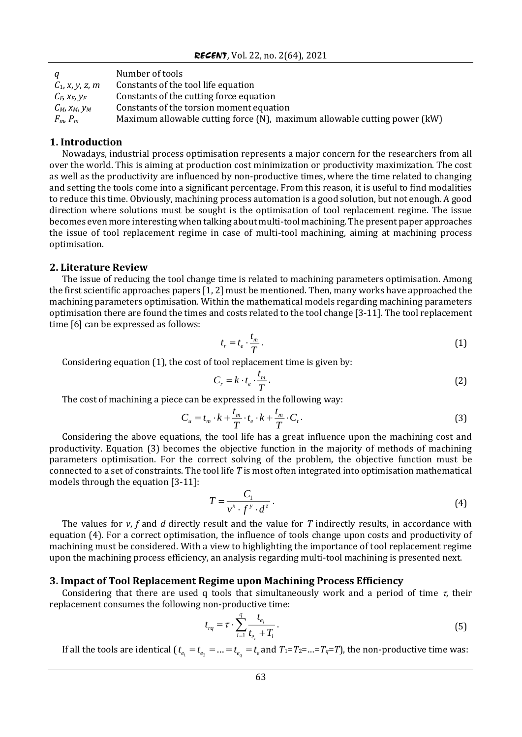| a                     | Number of tools                                                           |
|-----------------------|---------------------------------------------------------------------------|
| $C_1$ , x, y, z, m    | Constants of the tool life equation                                       |
| $C_F$ , $X_F$ , $Y_F$ | Constants of the cutting force equation                                   |
| $C_M$ , $X_M$ , $Y_M$ | Constants of the torsion moment equation                                  |
| $F_m$ , $P_m$         | Maximum allowable cutting force (N), maximum allowable cutting power (kW) |

### **1. Introduction**

Nowadays, industrial process optimisation represents a major concern for the researchers from all over the world. This is aiming at production cost minimization or productivity maximization. The cost as well as the productivity are influenced by non-productive times, where the time related to changing and setting the tools come into a significant percentage. From this reason, it is useful to find modalities to reduce this time. Obviously, machining process automation is a good solution, but not enough. A good direction where solutions must be sought is the optimisation of tool replacement regime. The issue becomes even more interesting when talking about multi-tool machining. The present paper approaches the issue of tool replacement regime in case of multi-tool machining, aiming at machining process optimisation.

#### **2. Literature Review**

The issue of reducing the tool change time is related to machining parameters optimisation. Among the first scientific approaches papers [1, 2] must be mentioned. Then, many works have approached the machining parameters optimisation. Within the mathematical models regarding machining parameters optimisation there are found the times and costs related to the tool change [3-11]. The tool replacement time [6] can be expressed as follows:

$$
t_r = t_e \cdot \frac{t_m}{T} \,. \tag{1}
$$

Considering equation (1), the cost of tool replacement time is given by:

$$
C_r = k \cdot t_e \cdot \frac{t_m}{T} \,. \tag{2}
$$

The cost of machining a piece can be expressed in the following way:

$$
C_u = t_m \cdot k + \frac{t_m}{T} \cdot t_e \cdot k + \frac{t_m}{T} \cdot C_t.
$$
 (3)

Considering the above equations, the tool life has a great influence upon the machining cost and productivity. Equation (3) becomes the objective function in the majority of methods of machining parameters optimisation. For the correct solving of the problem, the objective function must be connected to a set of constraints. The tool life *T* is most often integrated into optimisation mathematical models through the equation [3-11]:

$$
T = \frac{C_1}{v^x \cdot f^y \cdot d^z} \,. \tag{4}
$$

The values for *v*, *f* and *d* directly result and the value for *T* indirectly results, in accordance with equation (4). For a correct optimisation, the influence of tools change upon costs and productivity of machining must be considered. With a view to highlighting the importance of tool replacement regime upon the machining process efficiency, an analysis regarding multi-tool machining is presented next.

# **3. Impact of Tool Replacement Regime upon Machining Process Efficiency**

Considering that there are used q tools that simultaneously work and a period of time  $\tau$ , their replacement consumes the following non-productive time:

$$
t_{rq} = \tau \cdot \sum_{i=1}^{q} \frac{t_{e_i}}{t_{e_i} + T_i} \,. \tag{5}
$$

If all the tools are identical ( $t_{e_1} = t_{e_2} = ... = t_{e_q} = t_e$  and  $T_1 = T_2 = ... = T_q = T$ ), the non-productive time was: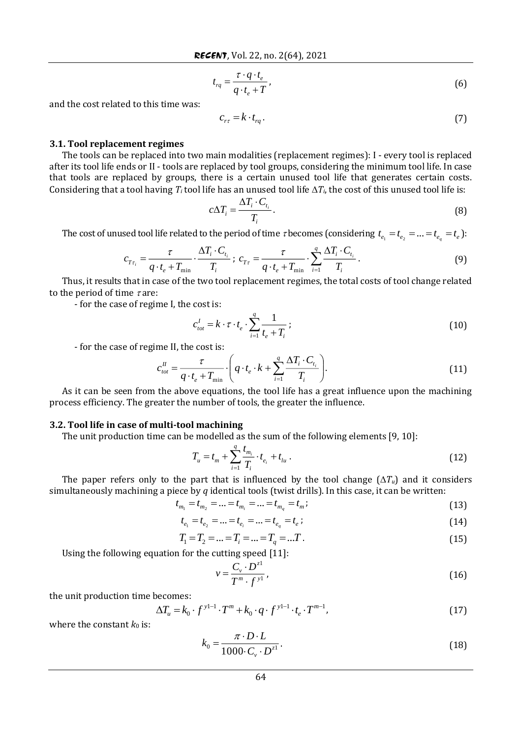$$
t_{rq} = \frac{\tau \cdot q \cdot t_e}{q \cdot t_e + T},\tag{6}
$$

and the cost related to this time was:

$$
c_{r\tau} = k \cdot t_{rq} \,. \tag{7}
$$

#### **3.1. Tool replacement regimes**

The tools can be replaced into two main modalities (replacement regimes): I - every tool is replaced after its tool life ends or II - tools are replaced by tool groups, considering the minimum tool life. In case that tools are replaced by groups, there is a certain unused tool life that generates certain costs. Considering that a tool having  $T_i$  tool life has an unused tool life  $\Delta T_i$ , the cost of this unused tool life is:

$$
c\Delta T_i = \frac{\Delta T_i \cdot C_{t_i}}{T_i}.
$$
\n(8)

The cost of unused tool life related to the period of time  $\tau$  becomes (considering  $t_{e_1} = t_{e_2} = ... = t_{e_q} = t_e$ ):

$$
c_{T\tau_i} = \frac{\tau}{q \cdot t_e + T_{\min}} \cdot \frac{\Delta T_i \cdot C_{t_i}}{T_i}; \ c_{T\tau} = \frac{\tau}{q \cdot t_e + T_{\min}} \cdot \sum_{i=1}^q \frac{\Delta T_i \cdot C_{t_i}}{T_i}.
$$
 (9)

Thus, it results that in case of the two tool replacement regimes, the total costs of tool change related to the period of time  $\tau$  are:

- for the case of regime I, the cost is:

$$
c_{tot}^I = k \cdot \tau \cdot t_e \cdot \sum_{i=1}^q \frac{1}{t_e + T_i} \tag{10}
$$

- for the case of regime II, the cost is:

$$
c_{\text{tot}}^{\text{II}} = \frac{\tau}{q \cdot t_e + T_{\text{min}}} \cdot \left( q \cdot t_e \cdot k + \sum_{i=1}^{q} \frac{\Delta T_i \cdot C_{t_i}}{T_i} \right). \tag{11}
$$

As it can be seen from the above equations, the tool life has a great influence upon the machining process efficiency. The greater the number of tools, the greater the influence.

#### **3.2. Tool life in case of multi-tool machining**

The unit production time can be modelled as the sum of the following elements [9, 10]:

$$
T_u = t_m + \sum_{i=1}^q \frac{t_{m_i}}{T_i} \cdot t_{e_i} + t_{lu} \tag{12}
$$

The paper refers only to the part that is influenced by the tool change  $(\Delta T_u)$  and it considers simultaneously machining a piece by *q* identical tools (twist drills). In this case, it can be written:

$$
t_{m_1} = t_{m_2} = \dots = t_{m_i} = \dots = t_{m_q} = t_m;
$$
\n(13)

$$
t_{e_1} = t_{e_2} = \dots = t_{e_i} = \dots = t_{e_q} = t_e ; \tag{14}
$$

$$
T_1 = T_2 = \dots = T_i = \dots = T_q = \dots T \tag{15}
$$

Using the following equation for the cutting speed [11]:

$$
v = \frac{C_v \cdot D^{z1}}{T^m \cdot f^{y1}},\tag{16}
$$

the unit production time becomes:

$$
\Delta T_u = k_0 \cdot f^{y^{1-1}} \cdot T^m + k_0 \cdot q \cdot f^{y^{1-1}} \cdot t_e \cdot T^{m-1},
$$
\n(17)

where the constant  $k_0$  is:

$$
k_0 = \frac{\pi \cdot D \cdot L}{1000 \cdot C_v \cdot D^{z^1}}.
$$
\n(18)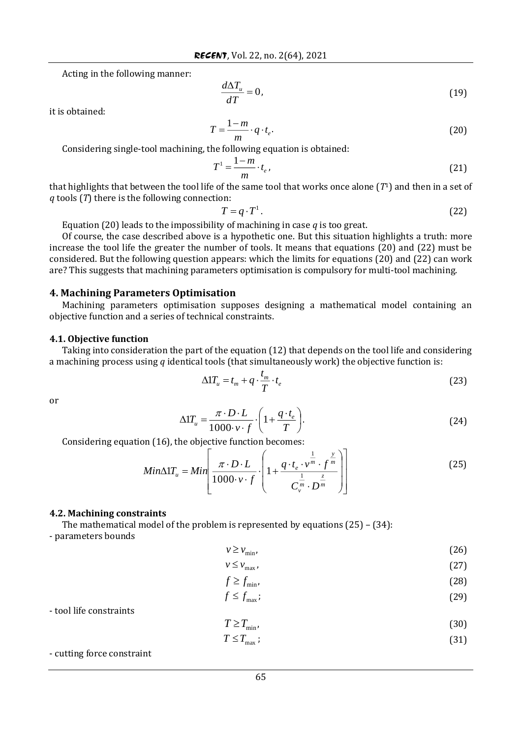Acting in the following manner:

$$
\frac{d\Delta T_u}{dT} = 0,\t\t(19)
$$

it is obtained:

$$
T = \frac{1 - m}{m} \cdot q \cdot t_e. \tag{20}
$$

Considering single-tool machining, the following equation is obtained:

$$
T^1 = \frac{1-m}{m} \cdot t_e \,,\tag{21}
$$

that highlights that between the tool life of the same tool that works once alone (*T*1) and then in a set of *q* tools (*T*) there is the following connection:

$$
T = q \cdot T^1. \tag{22}
$$

Equation (20) leads to the impossibility of machining in case *q* is too great.

Of course, the case described above is a hypothetic one. But this situation highlights a truth: more increase the tool life the greater the number of tools. It means that equations (20) and (22) must be considered. But the following question appears: which the limits for equations (20) and (22) can work are? This suggests that machining parameters optimisation is compulsory for multi-tool machining.

# **4. Machining Parameters Optimisation**

Machining parameters optimisation supposes designing a mathematical model containing an objective function and a series of technical constraints.

### **4.1. Objective function**

Taking into consideration the part of the equation (12) that depends on the tool life and considering a machining process using *q* identical tools (that simultaneously work) the objective function is:

$$
\Delta 1 T_u = t_m + q \cdot \frac{t_m}{T} \cdot t_e \tag{23}
$$

or

$$
\Delta 1 T_u = \frac{\pi \cdot D \cdot L}{1000 \cdot v \cdot f} \cdot \left( 1 + \frac{q \cdot t_e}{T} \right). \tag{24}
$$

Considering equation (16), the objective function becomes:  $\Gamma$ 

$$
Min \triangle 1 T_u = Min \left[ \frac{\pi \cdot D \cdot L}{1000 \cdot v \cdot f} \cdot \left( 1 + \frac{q \cdot t_e \cdot v^{\frac{1}{m}} \cdot f^{\frac{y}{m}}}{C_v^{\frac{1}{m}} \cdot D^{\frac{z}{m}}} \right) \right]
$$
(25)

#### **4.2. Machining constraints**

The mathematical model of the problem is represented by equations  $(25) - (34)$ : - parameters bounds

 $v \ge v_{\min}$ , (26)

$$
v \le v_{\text{max}} \tag{27}
$$

$$
f \ge f_{\min},\tag{28}
$$

$$
f \le f_{\max};\tag{29}
$$

- tool life constraints

$$
T \ge T_{\min},\tag{30}
$$

$$
T \le T_{\text{max}} \tag{31}
$$

- cutting force constraint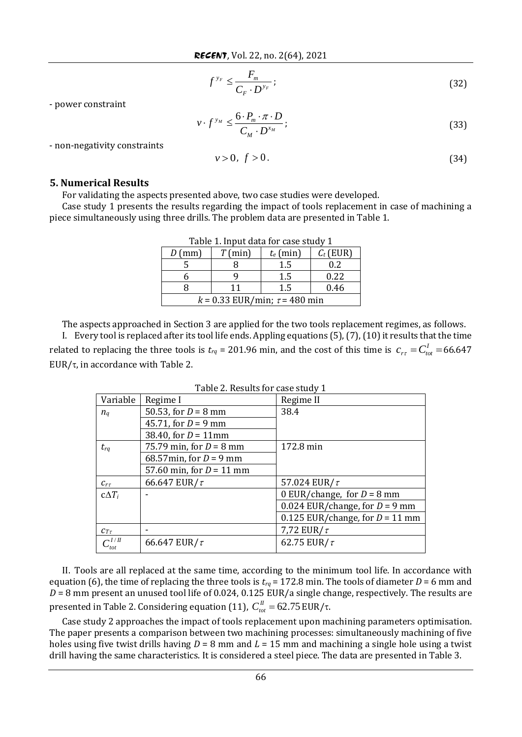$$
f^{y_F} \le \frac{F_m}{C_F \cdot D^{y_F}}; \tag{32}
$$

- power constraint

$$
v \cdot f^{y_M} \le \frac{6 \cdot P_m \cdot \pi \cdot D}{C_M \cdot D^{x_M}}; \tag{33}
$$

- non-negativity constraints

$$
v > 0, \ f > 0. \tag{34}
$$

# **5. Numerical Results**

For validating the aspects presented above, two case studies were developed.

Case study 1 presents the results regarding the impact of tools replacement in case of machining a piece simultaneously using three drills. The problem data are presented in Table 1.

| Table 1. Input data for case study 1 |           |             |             |  |
|--------------------------------------|-----------|-------------|-------------|--|
| $D$ (mm)                             | $T$ (min) | $t_e$ (min) | $C_t$ (EUR) |  |
|                                      |           | 1.5         | 0.2         |  |
|                                      |           | 1.5         | 0.22        |  |
|                                      | 11        | 1.5         | 0.46        |  |
| $k = 0.33$ EUR/min; $\tau = 480$ min |           |             |             |  |

Table 1. Input data for case study 1

The aspects approached in Section 3 are applied for the two tools replacement regimes, as follows.

I. Every tool is replaced after its tool life ends. Appling equations (5), (7), (10) it results that the time related to replacing the three tools is  $t_{rq}$  = 201.96 min, and the cost of this time is  $c_{rr} = C_{tot}^I$  =66.647 EUR/ $\tau$ , in accordance with Table 2.

| Variable          | Regime I                   | Regime II                         |
|-------------------|----------------------------|-----------------------------------|
| $n_q$             | 50.53, for $D = 8$ mm      | 38.4                              |
|                   | 45.71, for $D = 9$ mm      |                                   |
|                   | 38.40, for $D = 11$ mm     |                                   |
| $t_{rq}$          | 75.79 min, for $D = 8$ mm  | 172.8 min                         |
|                   | 68.57min, for $D = 9$ mm   |                                   |
|                   | 57.60 min, for $D = 11$ mm |                                   |
| $C_{r\tau}$       | 66.647 EUR/ $\tau$         | 57.024 EUR/ $\tau$                |
| $c\Delta T_i$     |                            | 0 EUR/change, for $D = 8$ mm      |
|                   |                            | 0.024 EUR/change, for $D = 9$ mm  |
|                   |                            | 0.125 EUR/change, for $D = 11$ mm |
| $Cr_{\tau}$       |                            | 7,72 EUR/ $\tau$                  |
| $\sim I/H$<br>tot | 66.647 EUR/ $\tau$         | 62.75 EUR/ $\tau$                 |

Table 2. Results for case study 1

II. Tools are all replaced at the same time, according to the minimum tool life. In accordance with equation (6), the time of replacing the three tools is  $t_{rq}$  = 172.8 min. The tools of diameter *D* = 6 mm and *D* = 8 mm present an unused tool life of 0.024, 0.125 EUR/a single change, respectively. The results are presented in Table 2. Considering equation (11),  $C_{\text{tot}}^{\textit{II}}$  = 62.75 EUR/τ.

Case study 2 approaches the impact of tools replacement upon machining parameters optimisation. The paper presents a comparison between two machining processes: simultaneously machining of five holes using five twist drills having *D* = 8 mm and *L* = 15 mm and machining a single hole using a twist drill having the same characteristics. It is considered a steel piece. The data are presented in Table 3.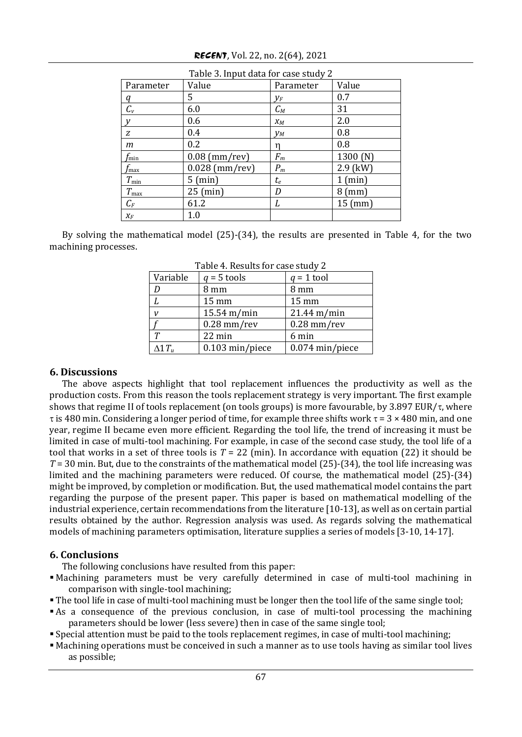| Table 3. Input data for case study 2 |                  |           |                    |
|--------------------------------------|------------------|-----------|--------------------|
| Parameter                            | Value            | Parameter | Value              |
| q                                    | 5                | $V_F$     | 0.7                |
| $C_{v}$                              | 6.0              | $C_M$     | 31                 |
| v                                    | 0.6              | $X_M$     | 2.0                |
| Z                                    | 0.4              | $V_M$     | 0.8                |
| m                                    | 0.2              | n         | 0.8                |
| $f_{\rm min}$                        | $0.08$ (mm/rev)  | $F_m$     | 1300 $(N)$         |
| $r_{\rm max}$                        | $0.028$ (mm/rev) | $P_m$     | $2.9$ (kW)         |
| $T_{\rm min}$                        | 5 (min)          | $t_e\,$   | 1 (min)            |
| $T_{\rm max}$                        | $25$ (min)       | D         | $8 \, \text{(mm)}$ |
| $C_F$                                | 61.2             | L         | $15$ (mm)          |
| $X_F$                                | $1.0\,$          |           |                    |

By solving the mathematical model (25)-(34), the results are presented in Table 4, for the two machining processes.

| rapic <i>n</i> negares for ease staay $\mu$ |                       |                       |  |
|---------------------------------------------|-----------------------|-----------------------|--|
| Variable                                    | $q = 5$ tools         | $q = 1$ tool          |  |
| D                                           | 8 mm                  | 8 mm                  |  |
|                                             | 15 mm                 | 15 mm                 |  |
|                                             | $15.54 \text{ m/min}$ | $21.44 \text{ m/min}$ |  |
|                                             | $0.28$ mm/rev         | $0.28$ mm/rev         |  |
|                                             | 22 min                | 6 min                 |  |
| $\Delta 1 T_u$                              | 0.103 min/piece       | $0.074$ min/piece     |  |

Table 4. Results for case study 2

# **6. Discussions**

The above aspects highlight that tool replacement influences the productivity as well as the production costs. From this reason the tools replacement strategy is very important. The first example shows that regime II of tools replacement (on tools groups) is more favourable, by 3.897 EUR/ $\tau$ , where  $\tau$  is 480 min. Considering a longer period of time, for example three shifts work  $\tau = 3 \times 480$  min, and one year, regime II became even more efficient. Regarding the tool life, the trend of increasing it must be limited in case of multi-tool machining. For example, in case of the second case study, the tool life of a tool that works in a set of three tools is *T* = 22 (min). In accordance with equation (22) it should be *T* = 30 min. But, due to the constraints of the mathematical model (25)-(34), the tool life increasing was limited and the machining parameters were reduced. Of course, the mathematical model (25)-(34) might be improved, by completion or modification. But, the used mathematical model contains the part regarding the purpose of the present paper. This paper is based on mathematical modelling of the industrial experience, certain recommendations from the literature [10-13], as well as on certain partial results obtained by the author. Regression analysis was used. As regards solving the mathematical models of machining parameters optimisation, literature supplies a series of models [3-10, 14-17].

# **6. Conclusions**

The following conclusions have resulted from this paper:

- Machining parameters must be very carefully determined in case of multi-tool machining in comparison with single-tool machining;
- The tool life in case of multi-tool machining must be longer then the tool life of the same single tool;
- As a consequence of the previous conclusion, in case of multi-tool processing the machining parameters should be lower (less severe) then in case of the same single tool;
- Special attention must be paid to the tools replacement regimes, in case of multi-tool machining;
- Machining operations must be conceived in such a manner as to use tools having as similar tool lives as possible;